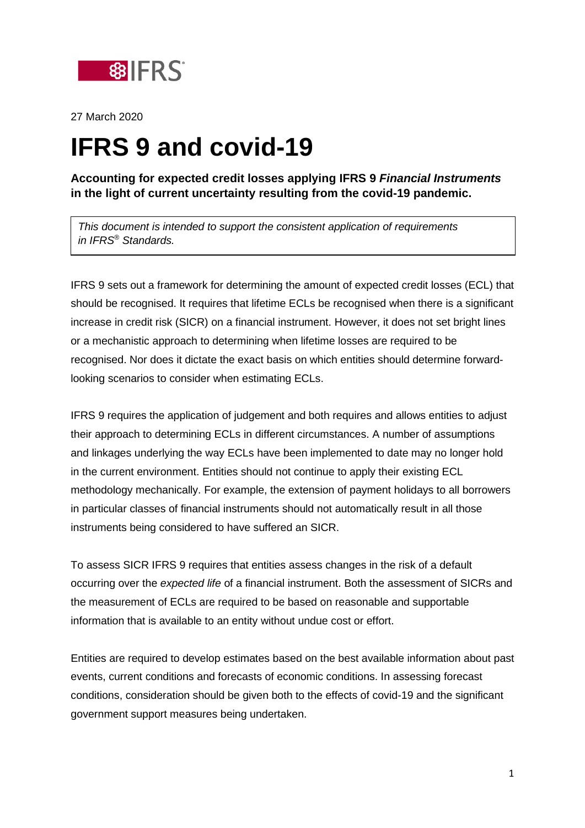

27 March 2020

## **IFRS 9 and covid-19**

**Accounting for expected credit losses applying IFRS 9** *Financial Instruments*  **in the light of current uncertainty resulting from the covid-19 pandemic.**

*This document is intended to support the consistent application of requirements in IFRS® Standards.*

IFRS 9 sets out a framework for determining the amount of expected credit losses (ECL) that should be recognised. It requires that lifetime ECLs be recognised when there is a significant increase in credit risk (SICR) on a financial instrument. However, it does not set bright lines or a mechanistic approach to determining when lifetime losses are required to be recognised. Nor does it dictate the exact basis on which entities should determine forwardlooking scenarios to consider when estimating ECLs.

IFRS 9 requires the application of judgement and both requires and allows entities to adjust their approach to determining ECLs in different circumstances. A number of assumptions and linkages underlying the way ECLs have been implemented to date may no longer hold in the current environment. Entities should not continue to apply their existing ECL methodology mechanically. For example, the extension of payment holidays to all borrowers in particular classes of financial instruments should not automatically result in all those instruments being considered to have suffered an SICR.

To assess SICR IFRS 9 requires that entities assess changes in the risk of a default occurring over the *expected life* of a financial instrument. Both the assessment of SICRs and the measurement of ECLs are required to be based on reasonable and supportable information that is available to an entity without undue cost or effort.

Entities are required to develop estimates based on the best available information about past events, current conditions and forecasts of economic conditions. In assessing forecast conditions, consideration should be given both to the effects of covid-19 and the significant government support measures being undertaken.